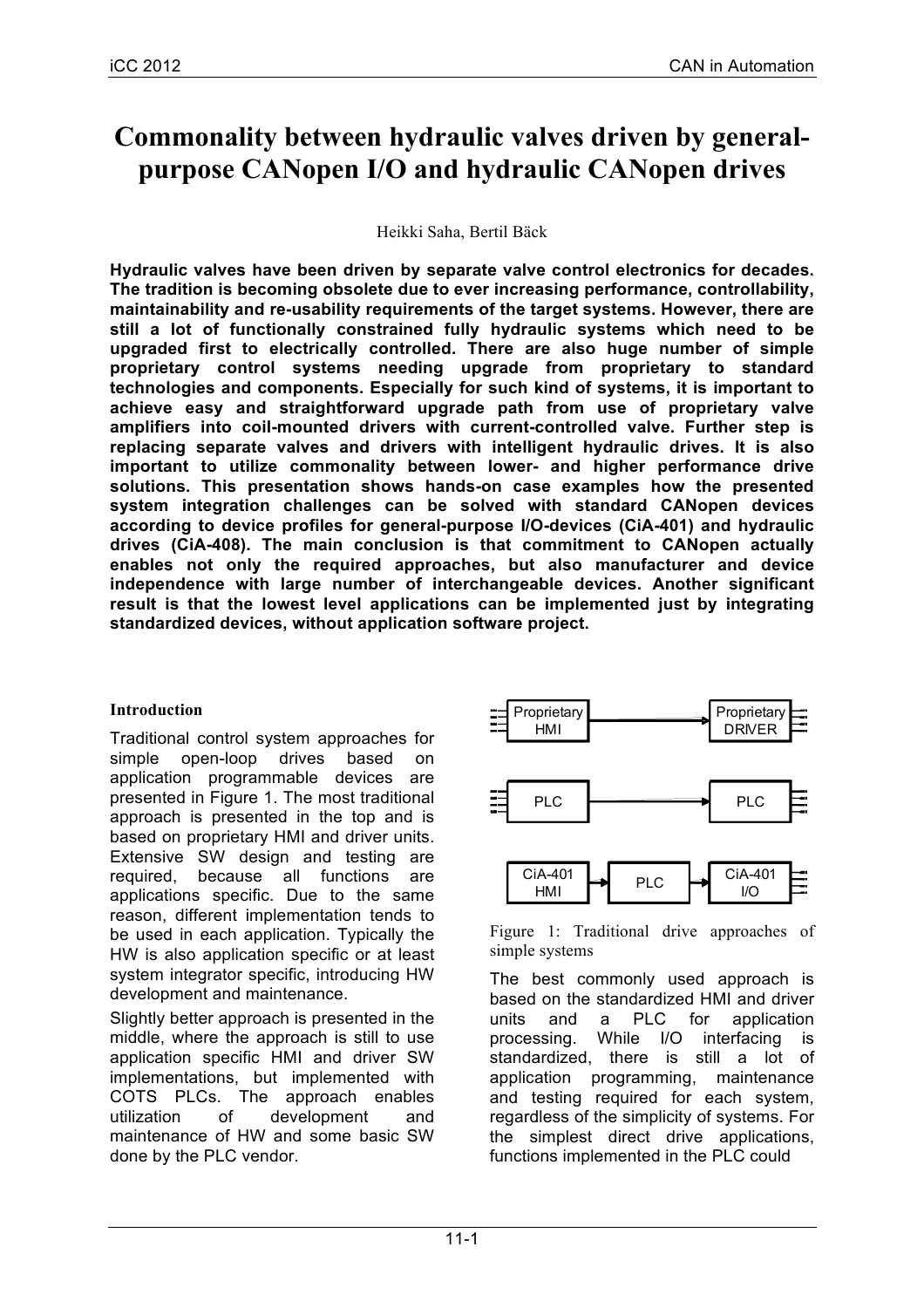# **Commonality between hydraulic valves driven by generalpurpose CANopen I/O and hydraulic CANopen drives**

Heikki Saha, Bertil Bäck

**Hydraulic valves have been driven by separate valve control electronics for decades. The tradition is becoming obsolete due to ever increasing performance, controllability, maintainability and re-usability requirements of the target systems. However, there are still a lot of functionally constrained fully hydraulic systems which need to be upgraded first to electrically controlled. There are also huge number of simple proprietary control systems needing upgrade from proprietary to standard technologies and components. Especially for such kind of systems, it is important to achieve easy and straightforward upgrade path from use of proprietary valve amplifiers into coil-mounted drivers with current-controlled valve. Further step is replacing separate valves and drivers with intelligent hydraulic drives. It is also important to utilize commonality between lower- and higher performance drive solutions. This presentation shows hands-on case examples how the presented system integration challenges can be solved with standard CANopen devices according to device profiles for general-purpose I/O-devices (CiA-401) and hydraulic drives (CiA-408). The main conclusion is that commitment to CANopen actually enables not only the required approaches, but also manufacturer and device independence with large number of interchangeable devices. Another significant result is that the lowest level applications can be implemented just by integrating standardized devices, without application software project.**

# **Introduction**

Traditional control system approaches for simple open-loop drives based on application programmable devices are presented in Figure 1. The most traditional approach is presented in the top and is based on proprietary HMI and driver units. Extensive SW design and testing are required, because all functions are applications specific. Due to the same reason, different implementation tends to be used in each application. Typically the HW is also application specific or at least system integrator specific, introducing HW development and maintenance.

Slightly better approach is presented in the middle, where the approach is still to use application specific HMI and driver SW implementations, but implemented with COTS PLCs. The approach enables utilization of development and maintenance of HW and some basic SW done by the PLC vendor.



Figure 1: Traditional drive approaches of simple systems

The best commonly used approach is based on the standardized HMI and driver units and a PLC for application processing. While I/O interfacing is standardized, there is still a lot of application programming, maintenance and testing required for each system, regardless of the simplicity of systems. For the simplest direct drive applications, functions implemented in the PLC could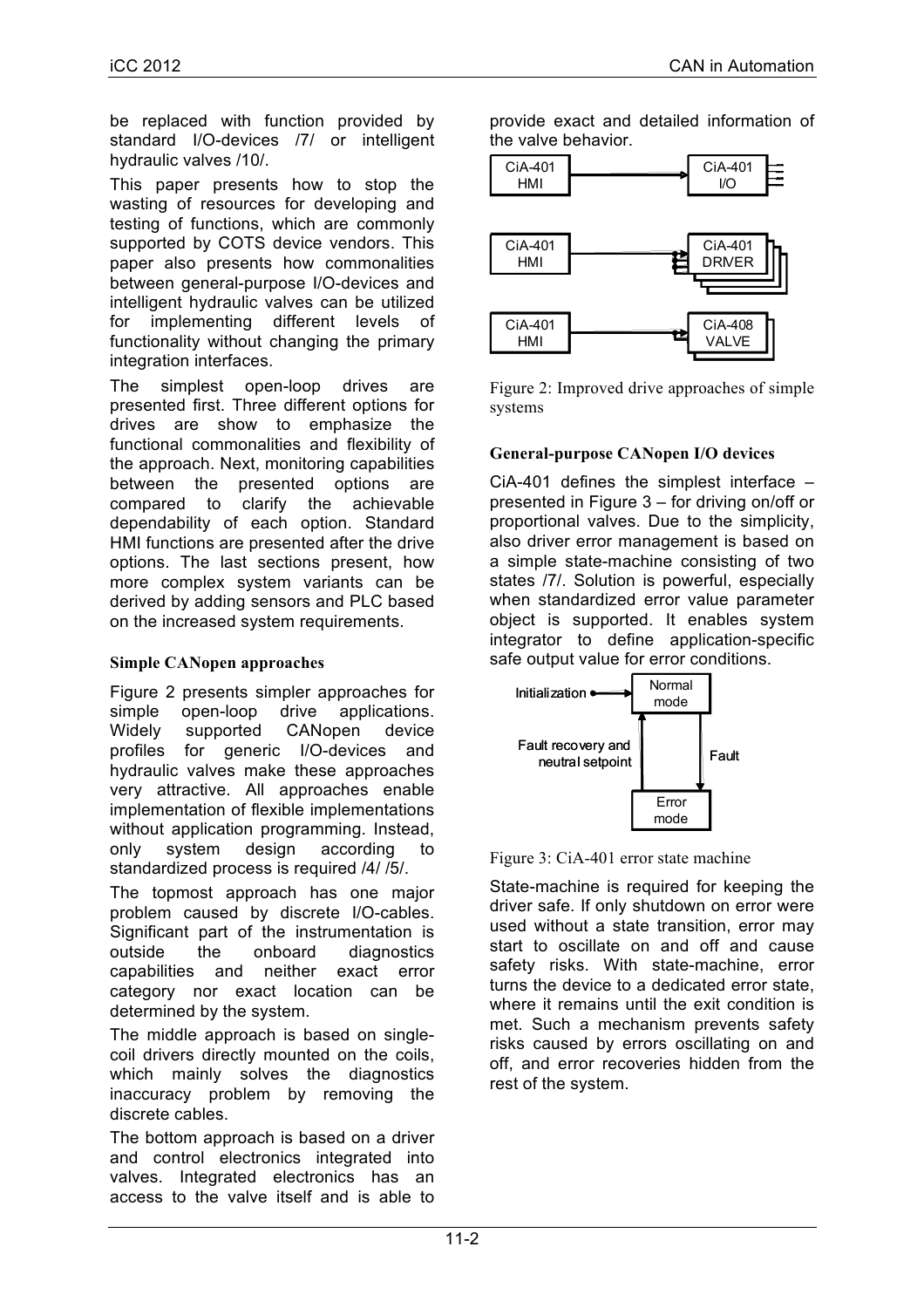be replaced with function provided by standard I/O-devices /7/ or intelligent hydraulic valves /10/.

This paper presents how to stop the wasting of resources for developing and testing of functions, which are commonly supported by COTS device vendors. This paper also presents how commonalities between general-purpose I/O-devices and intelligent hydraulic valves can be utilized for implementing different levels of functionality without changing the primary integration interfaces.

The simplest open-loop drives are presented first. Three different options for drives are show to emphasize the functional commonalities and flexibility of the approach. Next, monitoring capabilities between the presented options are compared to clarify the achievable dependability of each option. Standard HMI functions are presented after the drive options. The last sections present, how more complex system variants can be derived by adding sensors and PLC based on the increased system requirements.

## **Simple CANopen approaches**

Figure 2 presents simpler approaches for simple open-loop drive applications. Widely supported CANopen device profiles for generic I/O-devices and hydraulic valves make these approaches very attractive. All approaches enable implementation of flexible implementations without application programming. Instead, only system design according to standardized process is required /4/ /5/.

The topmost approach has one major problem caused by discrete I/O-cables. Significant part of the instrumentation is outside the onboard diagnostics capabilities and neither exact error category nor exact location can be determined by the system.

The middle approach is based on singlecoil drivers directly mounted on the coils, which mainly solves the diagnostics inaccuracy problem by removing the discrete cables.

The bottom approach is based on a driver and control electronics integrated into valves. Integrated electronics has an access to the valve itself and is able to provide exact and detailed information of the valve behavior.



Figure 2: Improved drive approaches of simple systems

## **General-purpose CANopen I/O devices**

CiA-401 defines the simplest interface – presented in Figure 3 – for driving on/off or proportional valves. Due to the simplicity, also driver error management is based on a simple state-machine consisting of two states /7/. Solution is powerful, especially when standardized error value parameter object is supported. It enables system integrator to define application-specific safe output value for error conditions.



Figure 3: CiA-401 error state machine

State-machine is required for keeping the driver safe. If only shutdown on error were used without a state transition, error may start to oscillate on and off and cause safety risks. With state-machine, error turns the device to a dedicated error state, where it remains until the exit condition is met. Such a mechanism prevents safety risks caused by errors oscillating on and off, and error recoveries hidden from the rest of the system.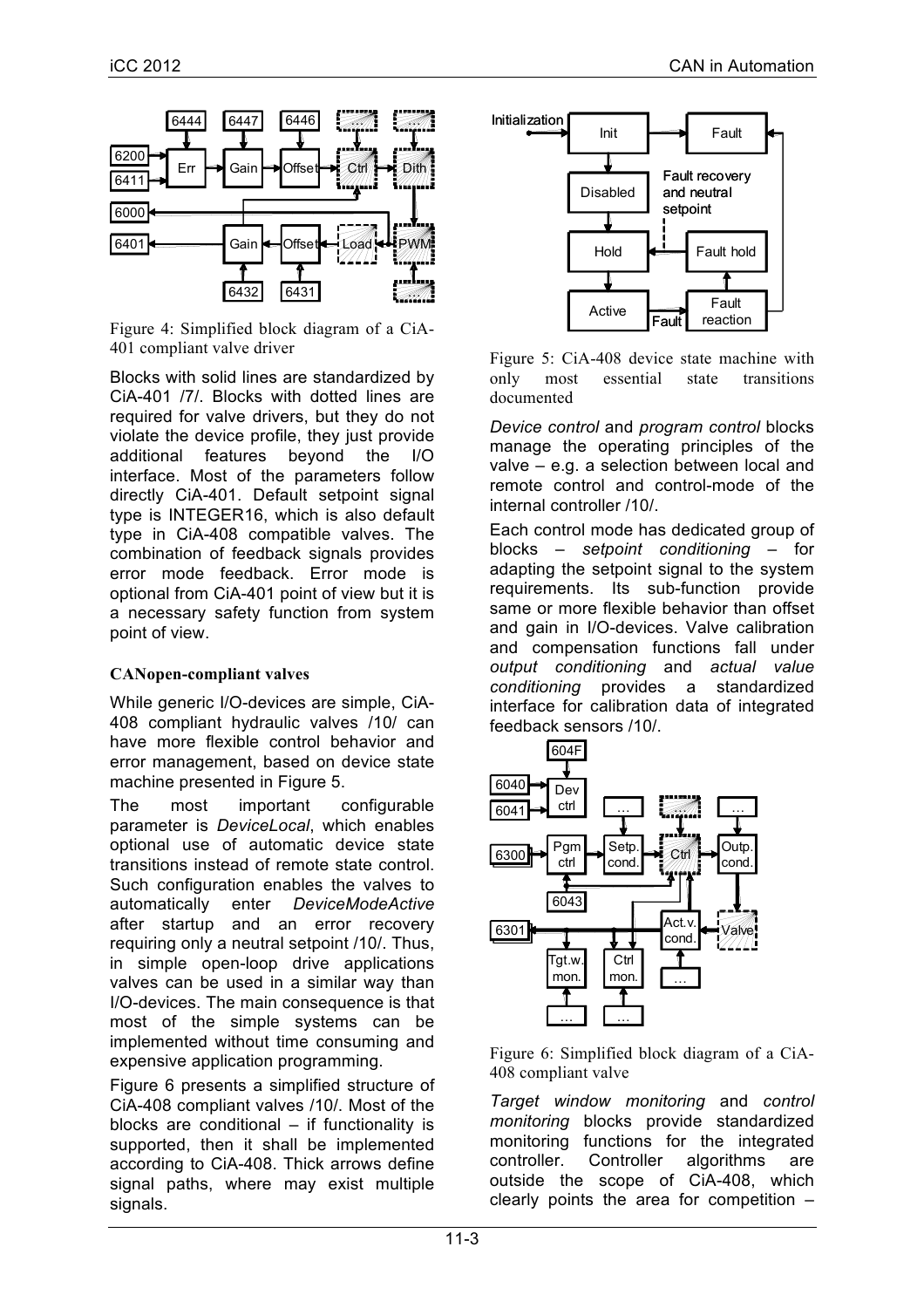

Figure 4: Simplified block diagram of a CiA-401 compliant valve driver

Blocks with solid lines are standardized by CiA-401 /7/. Blocks with dotted lines are required for valve drivers, but they do not violate the device profile, they just provide additional features beyond the I/O interface. Most of the parameters follow directly CiA-401. Default setpoint signal type is INTEGER16, which is also default type in CiA-408 compatible valves. The combination of feedback signals provides error mode feedback. Error mode is optional from CiA-401 point of view but it is a necessary safety function from system point of view.

## **CANopen-compliant valves**

While generic I/O-devices are simple, CiA-408 compliant hydraulic valves /10/ can have more flexible control behavior and error management, based on device state machine presented in Figure 5.

The most important configurable parameter is *DeviceLocal*, which enables optional use of automatic device state transitions instead of remote state control. Such configuration enables the valves to automatically enter *DeviceModeActive* after startup and an error recovery requiring only a neutral setpoint /10/. Thus, in simple open-loop drive applications valves can be used in a similar way than I/O-devices. The main consequence is that most of the simple systems can be implemented without time consuming and expensive application programming.

Figure 6 presents a simplified structure of CiA-408 compliant valves /10/. Most of the blocks are conditional – if functionality is supported, then it shall be implemented according to CiA-408. Thick arrows define signal paths, where may exist multiple signals.



Figure 5: CiA-408 device state machine with only most essential state transitions documented

*Device control* and *program control* blocks manage the operating principles of the valve – e.g. a selection between local and remote control and control-mode of the internal controller /10/.

Each control mode has dedicated group of blocks – *setpoint conditioning* – for adapting the setpoint signal to the system requirements. Its sub-function provide same or more flexible behavior than offset and gain in I/O-devices. Valve calibration and compensation functions fall under *output conditioning* and *actual value conditioning* provides a standardized interface for calibration data of integrated feedback sensors /10/.



Figure 6: Simplified block diagram of a CiA-408 compliant valve

*Target window monitoring* and *control monitoring* blocks provide standardized monitoring functions for the integrated controller. Controller algorithms are outside the scope of CiA-408, which clearly points the area for competition –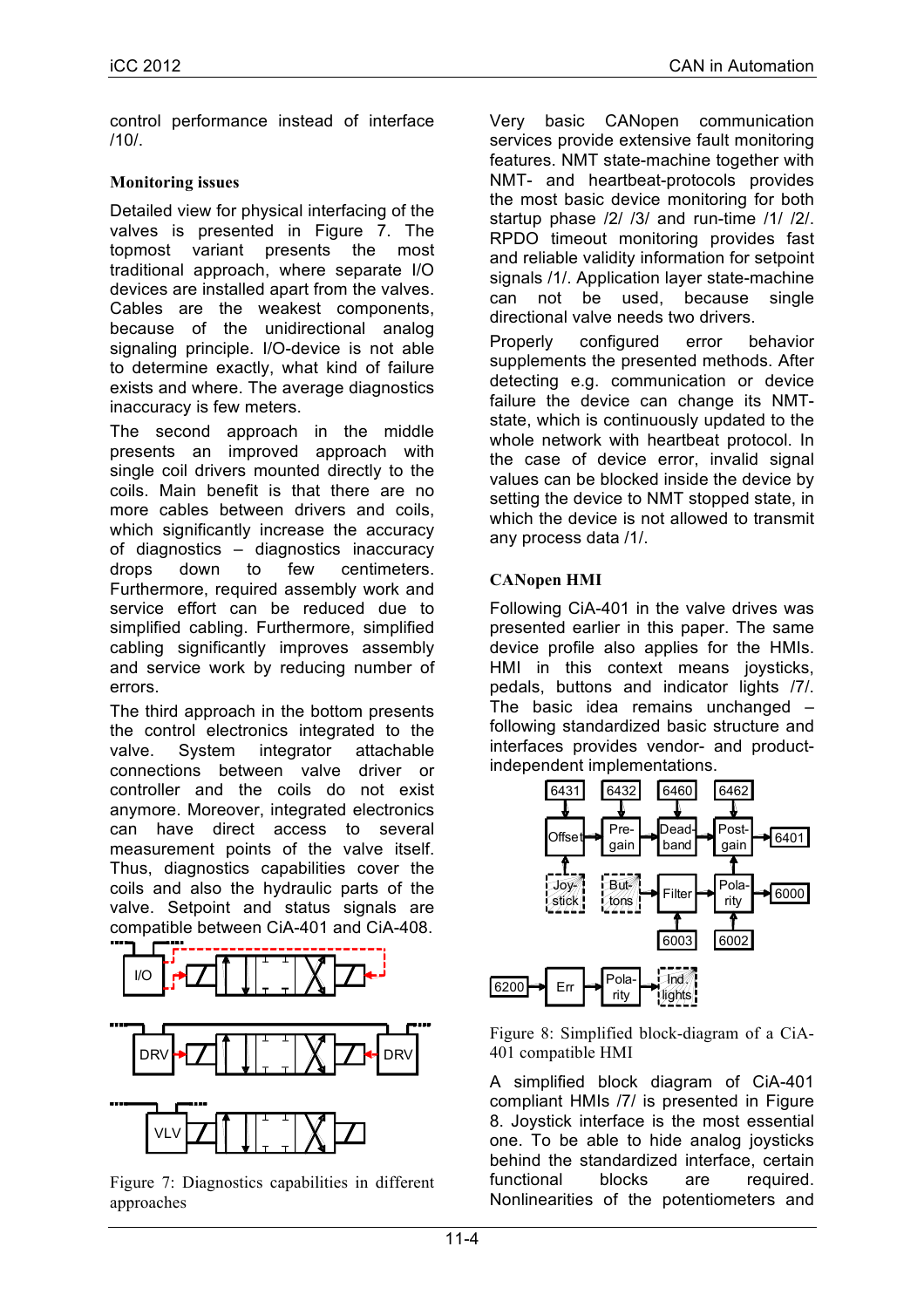control performance instead of interface /10/.

#### **Monitoring issues**

Detailed view for physical interfacing of the valves is presented in Figure 7. The topmost variant presents the most traditional approach, where separate I/O devices are installed apart from the valves. Cables are the weakest components, because of the unidirectional analog signaling principle. I/O-device is not able to determine exactly, what kind of failure exists and where. The average diagnostics inaccuracy is few meters.

The second approach in the middle presents an improved approach with single coil drivers mounted directly to the coils. Main benefit is that there are no more cables between drivers and coils, which significantly increase the accuracy of diagnostics – diagnostics inaccuracy drops down to few centimeters. Furthermore, required assembly work and service effort can be reduced due to simplified cabling. Furthermore, simplified cabling significantly improves assembly and service work by reducing number of errors.

The third approach in the bottom presents the control electronics integrated to the valve. System integrator attachable connections between valve driver or controller and the coils do not exist anymore. Moreover, integrated electronics can have direct access to several measurement points of the valve itself. Thus, diagnostics capabilities cover the coils and also the hydraulic parts of the valve. Setpoint and status signals are compatible between CiA-401 and CiA-408.



Figure 7: Diagnostics capabilities in different approaches

Very basic CANopen communication services provide extensive fault monitoring features. NMT state-machine together with NMT- and heartbeat-protocols provides the most basic device monitoring for both startup phase /2/ /3/ and run-time /1/ /2/. RPDO timeout monitoring provides fast and reliable validity information for setpoint signals /1/. Application layer state-machine can not be used, because single directional valve needs two drivers.

Properly configured error behavior supplements the presented methods. After detecting e.g. communication or device failure the device can change its NMTstate, which is continuously updated to the whole network with heartbeat protocol. In the case of device error, invalid signal values can be blocked inside the device by setting the device to NMT stopped state, in which the device is not allowed to transmit any process data /1/.

## **CANopen HMI**

Following CiA-401 in the valve drives was presented earlier in this paper. The same device profile also applies for the HMIs. HMI in this context means joysticks, pedals, buttons and indicator lights /7/. The basic idea remains unchanged – following standardized basic structure and interfaces provides vendor- and productindependent implementations.



Figure 8: Simplified block-diagram of a CiA-401 compatible HMI

A simplified block diagram of CiA-401 compliant HMIs /7/ is presented in Figure 8. Joystick interface is the most essential one. To be able to hide analog joysticks behind the standardized interface, certain functional blocks are required. Nonlinearities of the potentiometers and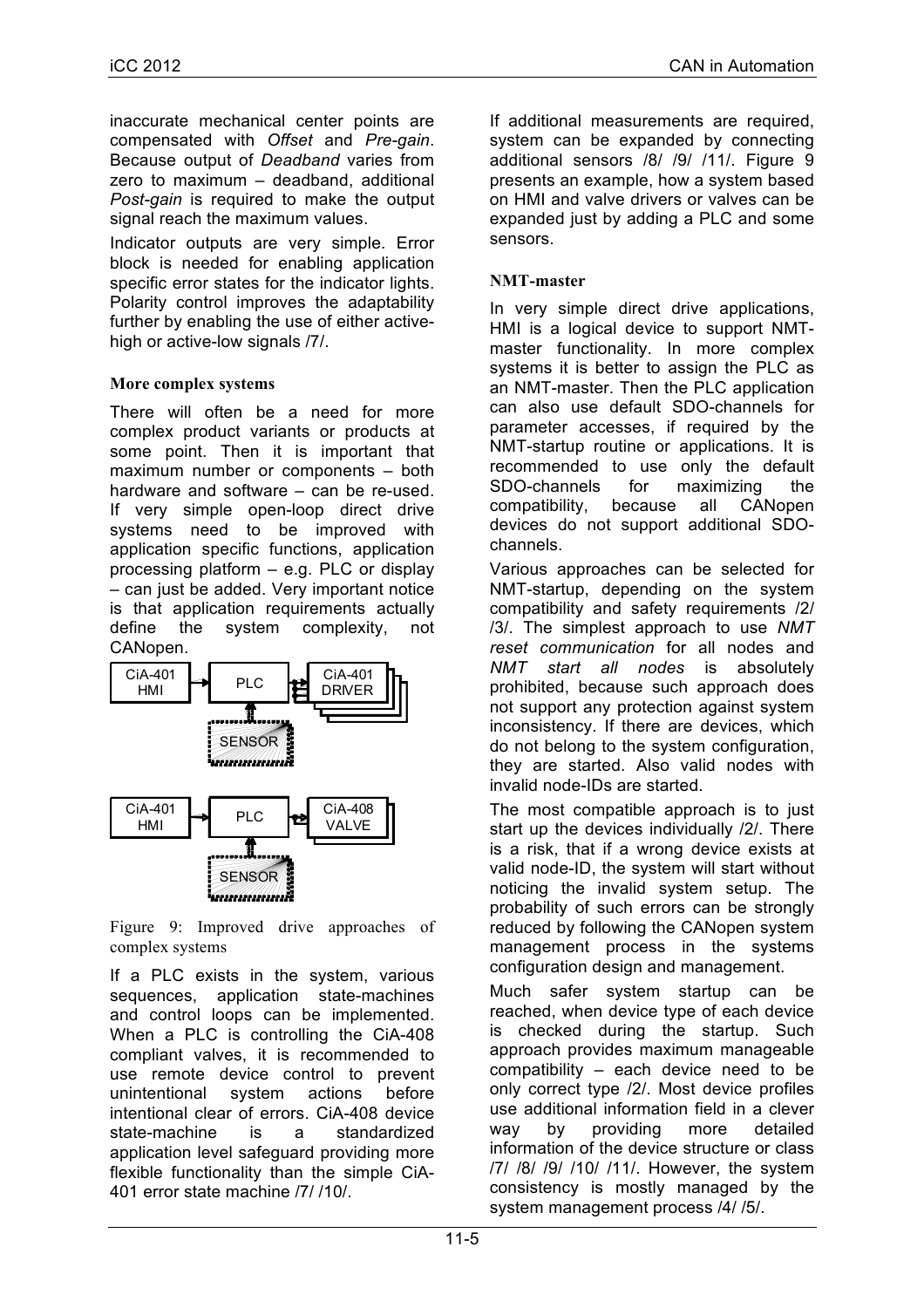inaccurate mechanical center points are compensated with *Offset* and *Pre-gain*. Because output of *Deadband* varies from zero to maximum – deadband, additional *Post-gain* is required to make the output signal reach the maximum values.

Indicator outputs are very simple. Error block is needed for enabling application specific error states for the indicator lights. Polarity control improves the adaptability further by enabling the use of either activehigh or active-low signals  $/7/$ .

## **More complex systems**

There will often be a need for more complex product variants or products at some point. Then it is important that maximum number or components – both hardware and software – can be re-used. If very simple open-loop direct drive systems need to be improved with application specific functions, application processing platform – e.g. PLC or display – can just be added. Very important notice is that application requirements actually define the system complexity, not CANopen.



Figure 9: Improved drive approaches of complex systems

If a PLC exists in the system, various sequences, application state-machines and control loops can be implemented. When a PLC is controlling the CiA-408 compliant valves, it is recommended to use remote device control to prevent unintentional system actions before intentional clear of errors. CiA-408 device state-machine is a standardized application level safeguard providing more flexible functionality than the simple CiA-401 error state machine /7/ /10/.

If additional measurements are required, system can be expanded by connecting additional sensors /8/ /9/ /11/. Figure 9 presents an example, how a system based on HMI and valve drivers or valves can be expanded just by adding a PLC and some sensors.

## **NMT-master**

In very simple direct drive applications, HMI is a logical device to support NMTmaster functionality. In more complex systems it is better to assign the PLC as an NMT-master. Then the PLC application can also use default SDO-channels for parameter accesses, if required by the NMT-startup routine or applications. It is recommended to use only the default SDO-channels for maximizing the compatibility, because all CANopen devices do not support additional SDOchannels.

Various approaches can be selected for NMT-startup, depending on the system compatibility and safety requirements /2/ /3/. The simplest approach to use *NMT reset communication* for all nodes and *NMT start all nodes* is absolutely prohibited, because such approach does not support any protection against system inconsistency. If there are devices, which do not belong to the system configuration, they are started. Also valid nodes with invalid node-IDs are started.

The most compatible approach is to just start up the devices individually /2/. There is a risk, that if a wrong device exists at valid node-ID, the system will start without noticing the invalid system setup. The probability of such errors can be strongly reduced by following the CANopen system management process in the systems configuration design and management.

Much safer system startup can be reached, when device type of each device is checked during the startup. Such approach provides maximum manageable compatibility – each device need to be only correct type /2/. Most device profiles use additional information field in a clever way by providing more detailed information of the device structure or class /7/ /8/ /9/ /10/ /11/. However, the system consistency is mostly managed by the system management process /4/ /5/.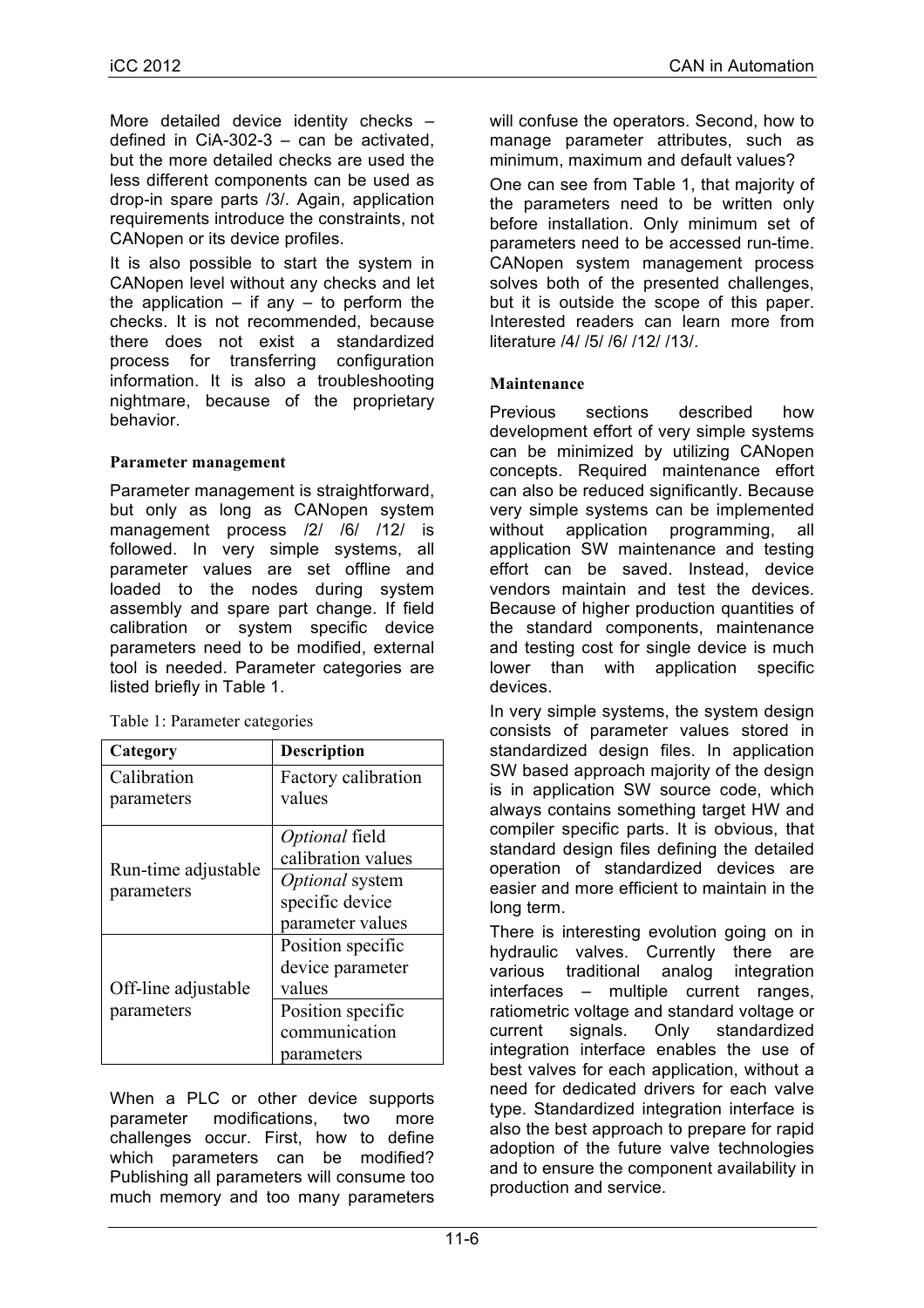More detailed device identity checks – defined in CiA-302-3 – can be activated, but the more detailed checks are used the less different components can be used as drop-in spare parts /3/. Again, application requirements introduce the constraints, not CANopen or its device profiles.

It is also possible to start the system in CANopen level without any checks and let the application  $-$  if any  $-$  to perform the checks. It is not recommended, because there does not exist a standardized process for transferring configuration information. It is also a troubleshooting nightmare, because of the proprietary behavior.

#### **Parameter management**

Parameter management is straightforward, but only as long as CANopen system management process /2/ /6/ /12/ is followed. In very simple systems, all parameter values are set offline and loaded to the nodes during system assembly and spare part change. If field calibration or system specific device parameters need to be modified, external tool is needed. Parameter categories are listed briefly in Table 1.

| Category                          | <b>Description</b>  |
|-----------------------------------|---------------------|
| Calibration                       | Factory calibration |
| parameters                        | values              |
| Run-time adjustable<br>parameters | Optional field      |
|                                   | calibration values  |
|                                   | Optional system     |
|                                   | specific device     |
|                                   | parameter values    |
| Off-line adjustable<br>parameters | Position specific   |
|                                   | device parameter    |
|                                   | values              |
|                                   | Position specific   |
|                                   | communication       |
|                                   | parameters          |

Table 1: Parameter categories

When a PLC or other device supports parameter modifications, two more challenges occur. First, how to define which parameters can be modified? Publishing all parameters will consume too much memory and too many parameters will confuse the operators. Second, how to manage parameter attributes, such as minimum, maximum and default values? One can see from Table 1, that majority of the parameters need to be written only before installation. Only minimum set of parameters need to be accessed run-time. CANopen system management process solves both of the presented challenges. but it is outside the scope of this paper. Interested readers can learn more from literature /4/ /5/ /6/ /12/ /13/.

## **Maintenance**

Previous sections described how development effort of very simple systems can be minimized by utilizing CANopen concepts. Required maintenance effort can also be reduced significantly. Because very simple systems can be implemented without application programming, all application SW maintenance and testing effort can be saved. Instead, device vendors maintain and test the devices. Because of higher production quantities of the standard components, maintenance and testing cost for single device is much lower than with application specific devices.

In very simple systems, the system design consists of parameter values stored in standardized design files. In application SW based approach majority of the design is in application SW source code, which always contains something target HW and compiler specific parts. It is obvious, that standard design files defining the detailed operation of standardized devices are easier and more efficient to maintain in the long term.

There is interesting evolution going on in hydraulic valves. Currently there are various traditional analog integration interfaces – multiple current ranges, ratiometric voltage and standard voltage or current signals. Only standardized integration interface enables the use of best valves for each application, without a need for dedicated drivers for each valve type. Standardized integration interface is also the best approach to prepare for rapid adoption of the future valve technologies and to ensure the component availability in production and service.